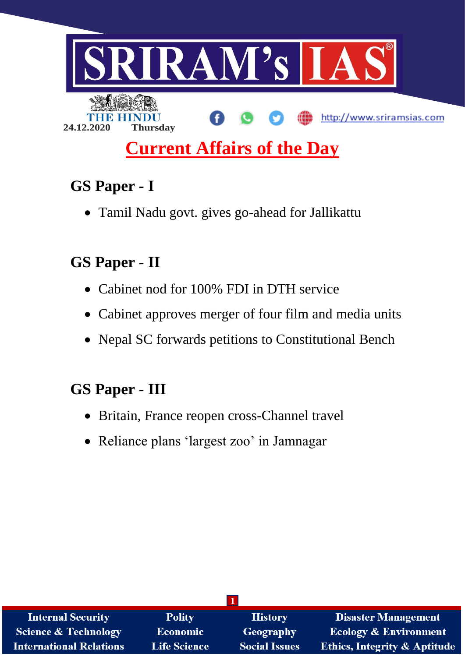

# **Current Affairs of the Day**

# **GS Paper - I**

Tamil Nadu govt. gives go-ahead for Jallikattu

# **GS Paper - II**

- Cabinet nod for 100% FDI in DTH service
- Cabinet approves merger of four film and media units
- Nepal SC forwards petitions to Constitutional Bench

# **GS Paper - III**

- Britain, France reopen cross-Channel travel
- Reliance plans 'largest zoo' in Jamnagar

| <b>Internal Security</b>        | <b>Polity</b>       | <b>History</b>       | <b>Disaster Management</b>              |
|---------------------------------|---------------------|----------------------|-----------------------------------------|
| <b>Science &amp; Technology</b> | Economic            | <b>Geography</b>     | <b>Ecology &amp; Environment</b>        |
| <b>International Relations</b>  | <b>Life Science</b> | <b>Social Issues</b> | <b>Ethics, Integrity &amp; Aptitude</b> |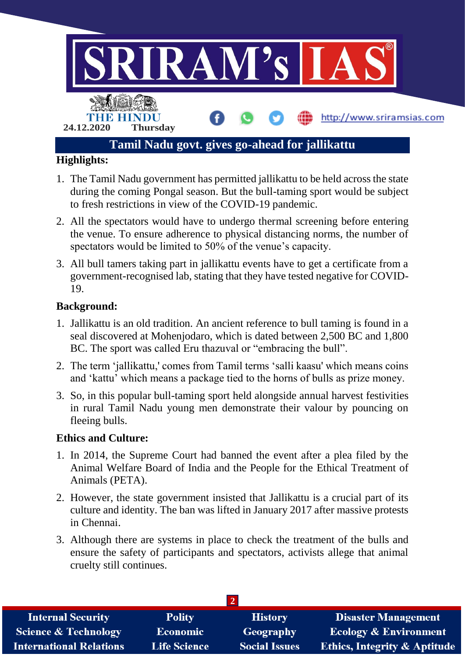

- 1. The Tamil Nadu government has permitted jallikattu to be held across the state during the coming Pongal season. But the bull-taming sport would be subject to fresh restrictions in view of the COVID-19 pandemic.
- 2. All the spectators would have to undergo thermal screening before entering the venue. To ensure adherence to physical distancing norms, the number of spectators would be limited to 50% of the venue's capacity.
- 3. All bull tamers taking part in jallikattu events have to get a certificate from a government-recognised lab, stating that they have tested negative for COVID-19.

#### **Background:**

- 1. Jallikattu is an old tradition. An ancient reference to bull taming is found in a seal discovered at Mohenjodaro, which is dated between 2,500 BC and 1,800 BC. The sport was called Eru thazuval or "embracing the bull".
- 2. The term 'jallikattu,' comes from Tamil terms 'salli kaasu' which means coins and 'kattu' which means a package tied to the horns of bulls as prize money.
- 3. So, in this popular bull-taming sport held alongside annual harvest festivities in rural Tamil Nadu young men demonstrate their valour by pouncing on fleeing bulls.

#### **Ethics and Culture:**

- 1. In 2014, the Supreme Court had banned the event after a plea filed by the Animal Welfare Board of India and the People for the Ethical Treatment of Animals (PETA).
- 2. However, the state government insisted that Jallikattu is a crucial part of its culture and identity. The ban was lifted in January 2017 after massive protests in Chennai.
- 3. Although there are systems in place to check the treatment of the bulls and ensure the safety of participants and spectators, activists allege that animal cruelty still continues.

| <b>Internal Security</b>        | <b>Polity</b>       | <b>History</b>       | <b>Disaster Management</b>              |
|---------------------------------|---------------------|----------------------|-----------------------------------------|
| <b>Science &amp; Technology</b> | <b>Economic</b>     | Geography            | <b>Ecology &amp; Environment</b>        |
| <b>International Relations</b>  | <b>Life Science</b> | <b>Social Issues</b> | <b>Ethics, Integrity &amp; Aptitude</b> |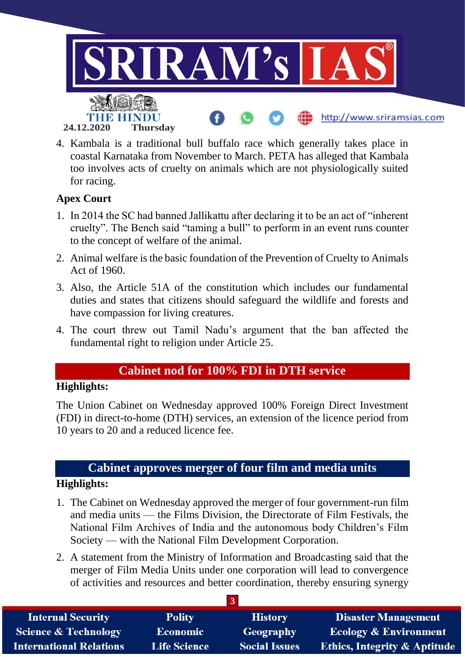

4. Kambala is a traditional bull buffalo race which generally takes place in coastal Karnataka from November to March. PETA has alleged that Kambala too involves acts of cruelty on animals which are not physiologically suited for racing.

### **Apex Court**

- 1. In 2014 the SC had banned Jallikattu after declaring it to be an act of "inherent cruelty". The Bench said "taming a bull" to perform in an event runs counter to the concept of welfare of the animal.
- 2. Animal welfare is the basic foundation of the Prevention of Cruelty to Animals Act of 1960.
- 3. Also, the Article 51A of the constitution which includes our fundamental duties and states that citizens should safeguard the wildlife and forests and have compassion for living creatures.
- 4. The court threw out Tamil Nadu's argument that the ban affected the fundamental right to religion under Article 25.

# **Cabinet nod for 100% FDI in DTH service**

### **Highlights:**

The Union Cabinet on Wednesday approved 100% Foreign Direct Investment (FDI) in direct-to-home (DTH) services, an extension of the licence period from 10 years to 20 and a reduced licence fee.

### **Cabinet approves merger of four film and media units**

### **Highlights:**

- 1. The Cabinet on Wednesday approved the merger of four government-run film and media units — the Films Division, the Directorate of Film Festivals, the National Film Archives of India and the autonomous body Children's Film Society — with the National Film Development Corporation.
- 2. A statement from the Ministry of Information and Broadcasting said that the merger of Film Media Units under one corporation will lead to convergence of activities and resources and better coordination, thereby ensuring synergy

| <b>Internal Security</b>        | <b>Polity</b>       | <b>History</b>       | <b>Disaster Management</b>              |
|---------------------------------|---------------------|----------------------|-----------------------------------------|
| <b>Science &amp; Technology</b> | <b>Economic</b>     | Geography            | <b>Ecology &amp; Environment</b>        |
| <b>International Relations</b>  | <b>Life Science</b> | <b>Social Issues</b> | <b>Ethics, Integrity &amp; Aptitude</b> |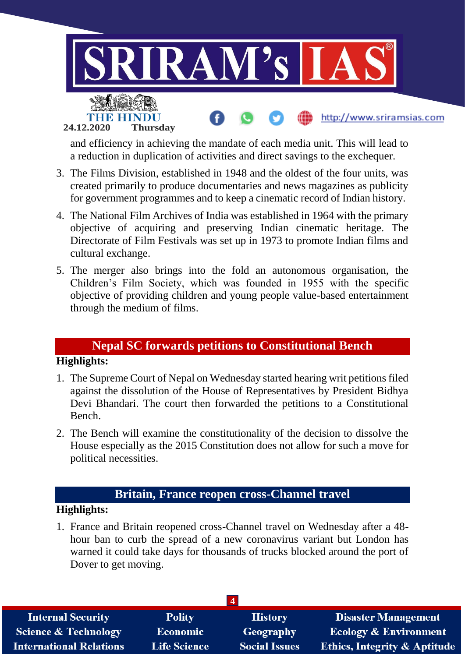

and efficiency in achieving the mandate of each media unit. This will lead to a reduction in duplication of activities and direct savings to the exchequer.

- 3. The Films Division, established in 1948 and the oldest of the four units, was created primarily to produce documentaries and news magazines as publicity for government programmes and to keep a cinematic record of Indian history.
- 4. The National Film Archives of India was established in 1964 with the primary objective of acquiring and preserving Indian cinematic heritage. The Directorate of Film Festivals was set up in 1973 to promote Indian films and cultural exchange.
- 5. The merger also brings into the fold an autonomous organisation, the Children's Film Society, which was founded in 1955 with the specific objective of providing children and young people value-based entertainment through the medium of films.

### **Nepal SC forwards petitions to Constitutional Bench**

#### **Highlights:**

- 1. The Supreme Court of Nepal on Wednesday started hearing writ petitions filed against the dissolution of the House of Representatives by President Bidhya Devi Bhandari. The court then forwarded the petitions to a Constitutional Bench.
- 2. The Bench will examine the constitutionality of the decision to dissolve the House especially as the 2015 Constitution does not allow for such a move for political necessities.

# **Britain, France reopen cross-Channel travel**

#### **Highlights:**

1. France and Britain reopened cross-Channel travel on Wednesday after a 48 hour ban to curb the spread of a new coronavirus variant but London has warned it could take days for thousands of trucks blocked around the port of Dover to get moving.

| <b>Internal Security</b>        | <b>Polity</b>       | <b>History</b>       | <b>Disaster Management</b>              |
|---------------------------------|---------------------|----------------------|-----------------------------------------|
| <b>Science &amp; Technology</b> | <b>Economic</b>     | Geography            | <b>Ecology &amp; Environment</b>        |
| <b>International Relations</b>  | <b>Life Science</b> | <b>Social Issues</b> | <b>Ethics, Integrity &amp; Aptitude</b> |